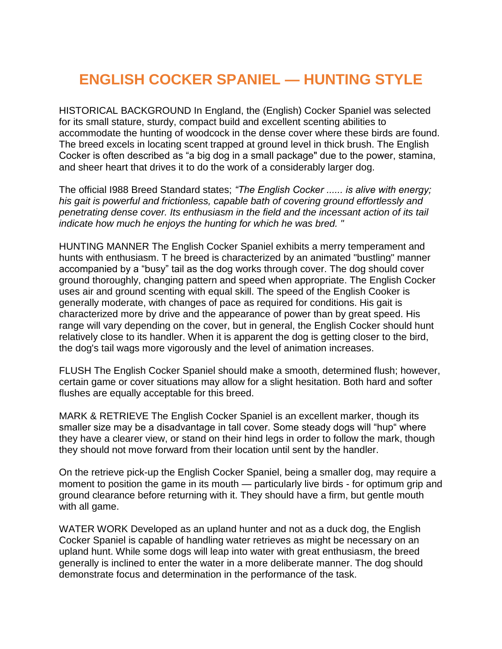## **ENGLISH COCKER SPANIEL — HUNTING STYLE**

HISTORICAL BACKGROUND In England, the (English) Cocker Spaniel was selected for its small stature, sturdy, compact build and excellent scenting abilities to accommodate the hunting of woodcock in the dense cover where these birds are found. The breed excels in locating scent trapped at ground level in thick brush. The English Cocker is often described as "a big dog in a small package" due to the power, stamina, and sheer heart that drives it to do the work of a considerably larger dog.

The official I988 Breed Standard states; *"The English Cocker ...... is alive with energy; his gait is powerful and frictionless, capable bath of covering ground effortlessly and penetrating dense cover. Its enthusiasm in the field and the incessant action of its tail indicate how much he enjoys the hunting for which he was bred. "* 

HUNTING MANNER The English Cocker Spaniel exhibits a merry temperament and hunts with enthusiasm. T he breed is characterized by an animated "bustling" manner accompanied by a "busy" tail as the dog works through cover. The dog should cover ground thoroughly, changing pattern and speed when appropriate. The English Cocker uses air and ground scenting with equal skill. The speed of the English Cooker is generally moderate, with changes of pace as required for conditions. His gait is characterized more by drive and the appearance of power than by great speed. His range will vary depending on the cover, but in general, the English Cocker should hunt relatively close to its handler. When it is apparent the dog is getting closer to the bird, the dog's tail wags more vigorously and the level of animation increases.

FLUSH The English Cocker Spaniel should make a smooth, determined flush; however, certain game or cover situations may allow for a slight hesitation. Both hard and softer flushes are equally acceptable for this breed.

MARK & RETRIEVE The English Cocker Spaniel is an excellent marker, though its smaller size may be a disadvantage in tall cover. Some steady dogs will "hup" where they have a clearer view, or stand on their hind legs in order to follow the mark, though they should not move forward from their location until sent by the handler.

On the retrieve pick-up the English Cocker Spaniel, being a smaller dog, may require a moment to position the game in its mouth — particularly live birds - for optimum grip and ground clearance before returning with it. They should have a firm, but gentle mouth with all game.

WATER WORK Developed as an upland hunter and not as a duck dog, the English Cocker Spaniel is capable of handling water retrieves as might be necessary on an upland hunt. While some dogs will leap into water with great enthusiasm, the breed generally is inclined to enter the water in a more deliberate manner. The dog should demonstrate focus and determination in the performance of the task.